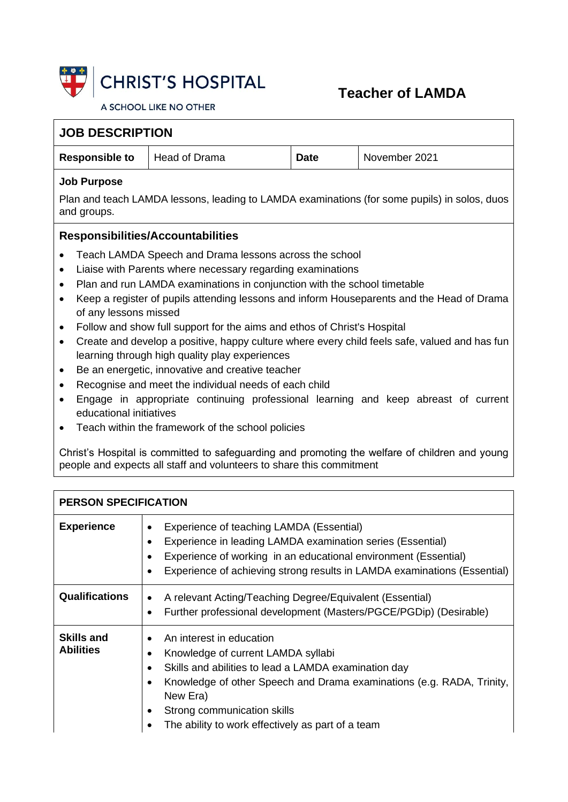

## **Teacher of LAMDA**

A SCHOOL LIKE NO OTHER

| <b>JOB DESCRIPTION</b>                                                                                                              |                                                                                                                                                                                                                                                                                                                                                                                                                                                                                                                                                                          |             |                                                                                                                                                                                                                                                                                                                                                                                    |  |
|-------------------------------------------------------------------------------------------------------------------------------------|--------------------------------------------------------------------------------------------------------------------------------------------------------------------------------------------------------------------------------------------------------------------------------------------------------------------------------------------------------------------------------------------------------------------------------------------------------------------------------------------------------------------------------------------------------------------------|-------------|------------------------------------------------------------------------------------------------------------------------------------------------------------------------------------------------------------------------------------------------------------------------------------------------------------------------------------------------------------------------------------|--|
| <b>Responsible to</b>                                                                                                               | <b>Head of Drama</b>                                                                                                                                                                                                                                                                                                                                                                                                                                                                                                                                                     | <b>Date</b> | November 2021                                                                                                                                                                                                                                                                                                                                                                      |  |
| <b>Job Purpose</b><br>Plan and teach LAMDA lessons, leading to LAMDA examinations (for some pupils) in solos, duos<br>and groups.   |                                                                                                                                                                                                                                                                                                                                                                                                                                                                                                                                                                          |             |                                                                                                                                                                                                                                                                                                                                                                                    |  |
| <b>Responsibilities/Accountabilities</b>                                                                                            |                                                                                                                                                                                                                                                                                                                                                                                                                                                                                                                                                                          |             |                                                                                                                                                                                                                                                                                                                                                                                    |  |
| $\bullet$<br>$\bullet$<br>of any lessons missed<br>$\bullet$<br>$\bullet$<br>٠<br>$\bullet$<br>$\bullet$<br>educational initiatives | Teach LAMDA Speech and Drama lessons across the school<br>Liaise with Parents where necessary regarding examinations<br>Plan and run LAMDA examinations in conjunction with the school timetable<br>Follow and show full support for the aims and ethos of Christ's Hospital<br>learning through high quality play experiences<br>Be an energetic, innovative and creative teacher<br>Recognise and meet the individual needs of each child<br>Teach within the framework of the school policies<br>people and expects all staff and volunteers to share this commitment |             | Keep a register of pupils attending lessons and inform Houseparents and the Head of Drama<br>Create and develop a positive, happy culture where every child feels safe, valued and has fun<br>Engage in appropriate continuing professional learning and keep abreast of current<br>Christ's Hospital is committed to safeguarding and promoting the welfare of children and young |  |
| <b>PERSON SPECIFICATION</b>                                                                                                         |                                                                                                                                                                                                                                                                                                                                                                                                                                                                                                                                                                          |             |                                                                                                                                                                                                                                                                                                                                                                                    |  |
| <b>Experience</b>                                                                                                                   | Experience of teaching LAMDA (Essential)<br>$\bullet$<br>Experience in leading LAMDA examination series (Essential)<br>$\bullet$<br>Experience of working in an educational environment (Essential)<br>$\bullet$                                                                                                                                                                                                                                                                                                                                                         |             | Experience of achieving strong results in LAMDA examinations (Essential)                                                                                                                                                                                                                                                                                                           |  |
|                                                                                                                                     |                                                                                                                                                                                                                                                                                                                                                                                                                                                                                                                                                                          |             |                                                                                                                                                                                                                                                                                                                                                                                    |  |

| <b>Qualifications</b>                 | A relevant Acting/Teaching Degree/Equivalent (Essential)<br>Further professional development (Masters/PGCE/PGDip) (Desirable)                                                                                                                                                                   |  |
|---------------------------------------|-------------------------------------------------------------------------------------------------------------------------------------------------------------------------------------------------------------------------------------------------------------------------------------------------|--|
| <b>Skills and</b><br><b>Abilities</b> | An interest in education<br>Knowledge of current LAMDA syllabi<br>Skills and abilities to lead a LAMDA examination day<br>Knowledge of other Speech and Drama examinations (e.g. RADA, Trinity,<br>New Era)<br>Strong communication skills<br>The ability to work effectively as part of a team |  |